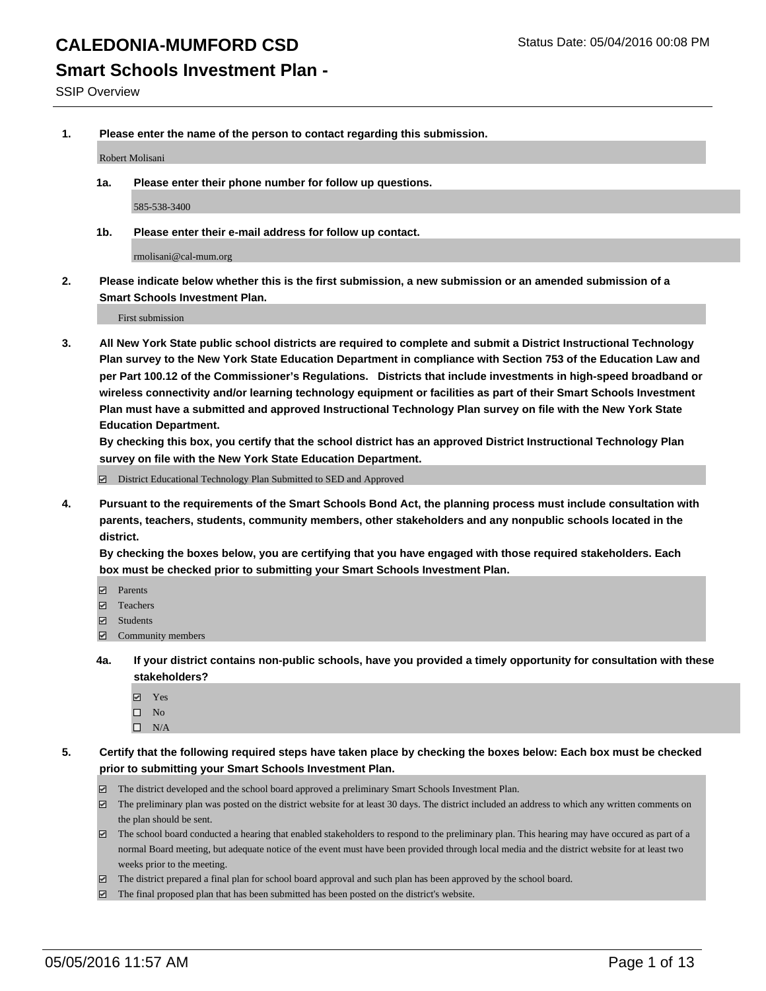### **Smart Schools Investment Plan -**

SSIP Overview

**1. Please enter the name of the person to contact regarding this submission.**

Robert Molisani

**1a. Please enter their phone number for follow up questions.**

585-538-3400

**1b. Please enter their e-mail address for follow up contact.**

rmolisani@cal-mum.org

**2. Please indicate below whether this is the first submission, a new submission or an amended submission of a Smart Schools Investment Plan.**

First submission

**3. All New York State public school districts are required to complete and submit a District Instructional Technology Plan survey to the New York State Education Department in compliance with Section 753 of the Education Law and per Part 100.12 of the Commissioner's Regulations. Districts that include investments in high-speed broadband or wireless connectivity and/or learning technology equipment or facilities as part of their Smart Schools Investment Plan must have a submitted and approved Instructional Technology Plan survey on file with the New York State Education Department.** 

**By checking this box, you certify that the school district has an approved District Instructional Technology Plan survey on file with the New York State Education Department.**

■ District Educational Technology Plan Submitted to SED and Approved

**4. Pursuant to the requirements of the Smart Schools Bond Act, the planning process must include consultation with parents, teachers, students, community members, other stakeholders and any nonpublic schools located in the district.** 

**By checking the boxes below, you are certifying that you have engaged with those required stakeholders. Each box must be checked prior to submitting your Smart Schools Investment Plan.**

- **Parents**
- □ Teachers
- Students
- $\boxdot$  Community members
- **4a. If your district contains non-public schools, have you provided a timely opportunity for consultation with these stakeholders?**
	- Yes
	- $\square$  No
	- $\Box$  N/A
- **5. Certify that the following required steps have taken place by checking the boxes below: Each box must be checked prior to submitting your Smart Schools Investment Plan.**
	- The district developed and the school board approved a preliminary Smart Schools Investment Plan.
	- The preliminary plan was posted on the district website for at least 30 days. The district included an address to which any written comments on the plan should be sent.
	- $\Box$  The school board conducted a hearing that enabled stakeholders to respond to the preliminary plan. This hearing may have occured as part of a normal Board meeting, but adequate notice of the event must have been provided through local media and the district website for at least two weeks prior to the meeting.
	- The district prepared a final plan for school board approval and such plan has been approved by the school board.
	- The final proposed plan that has been submitted has been posted on the district's website.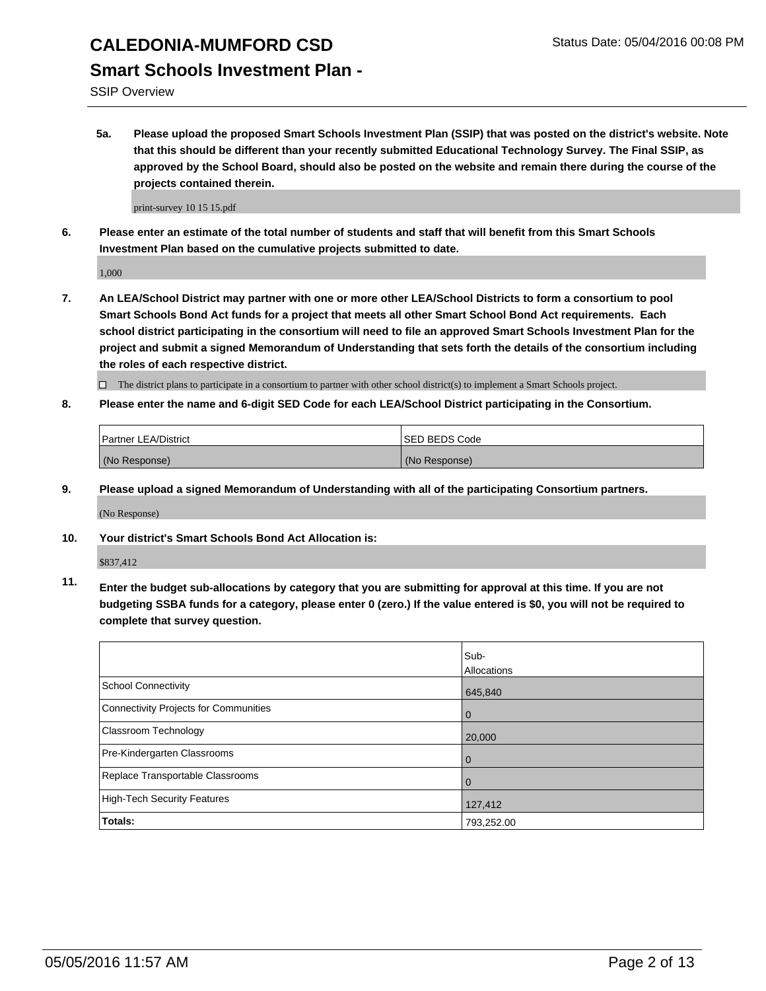SSIP Overview

**5a. Please upload the proposed Smart Schools Investment Plan (SSIP) that was posted on the district's website. Note that this should be different than your recently submitted Educational Technology Survey. The Final SSIP, as approved by the School Board, should also be posted on the website and remain there during the course of the projects contained therein.**

print-survey 10 15 15.pdf

**6. Please enter an estimate of the total number of students and staff that will benefit from this Smart Schools Investment Plan based on the cumulative projects submitted to date.**

1,000

**7. An LEA/School District may partner with one or more other LEA/School Districts to form a consortium to pool Smart Schools Bond Act funds for a project that meets all other Smart School Bond Act requirements. Each school district participating in the consortium will need to file an approved Smart Schools Investment Plan for the project and submit a signed Memorandum of Understanding that sets forth the details of the consortium including the roles of each respective district.**

 $\Box$  The district plans to participate in a consortium to partner with other school district(s) to implement a Smart Schools project.

**8. Please enter the name and 6-digit SED Code for each LEA/School District participating in the Consortium.**

| Partner LEA/District | <b>ISED BEDS Code</b> |
|----------------------|-----------------------|
| (No Response)        | (No Response)         |

**9. Please upload a signed Memorandum of Understanding with all of the participating Consortium partners.**

(No Response)

**10. Your district's Smart Schools Bond Act Allocation is:**

\$837,412

**11. Enter the budget sub-allocations by category that you are submitting for approval at this time. If you are not budgeting SSBA funds for a category, please enter 0 (zero.) If the value entered is \$0, you will not be required to complete that survey question.**

|                                       | Sub-<br>Allocations |
|---------------------------------------|---------------------|
| <b>School Connectivity</b>            | 645,840             |
| Connectivity Projects for Communities | $\Omega$            |
| Classroom Technology                  | 20,000              |
| Pre-Kindergarten Classrooms           | $\Omega$            |
| Replace Transportable Classrooms      | 0                   |
| <b>High-Tech Security Features</b>    | 127,412             |
| <b>Totals:</b>                        | 793,252.00          |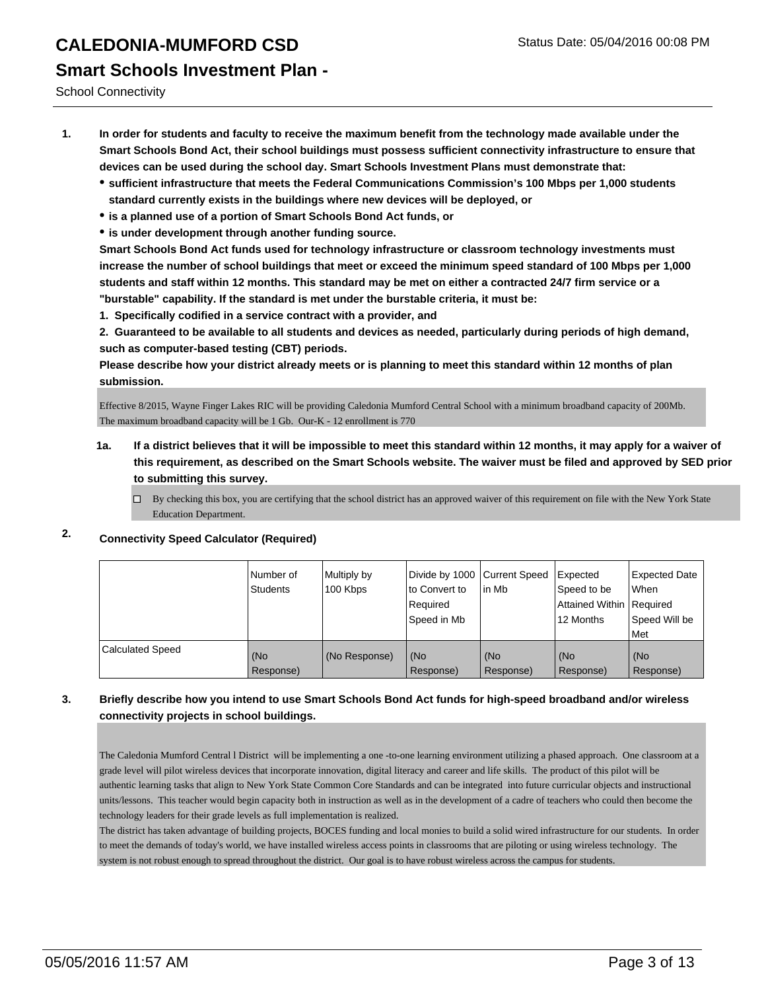School Connectivity

- **1. In order for students and faculty to receive the maximum benefit from the technology made available under the Smart Schools Bond Act, their school buildings must possess sufficient connectivity infrastructure to ensure that devices can be used during the school day. Smart Schools Investment Plans must demonstrate that:**
	- **sufficient infrastructure that meets the Federal Communications Commission's 100 Mbps per 1,000 students standard currently exists in the buildings where new devices will be deployed, or**
	- **is a planned use of a portion of Smart Schools Bond Act funds, or**
	- **is under development through another funding source.**

**Smart Schools Bond Act funds used for technology infrastructure or classroom technology investments must increase the number of school buildings that meet or exceed the minimum speed standard of 100 Mbps per 1,000 students and staff within 12 months. This standard may be met on either a contracted 24/7 firm service or a "burstable" capability. If the standard is met under the burstable criteria, it must be:**

**1. Specifically codified in a service contract with a provider, and**

**2. Guaranteed to be available to all students and devices as needed, particularly during periods of high demand, such as computer-based testing (CBT) periods.**

**Please describe how your district already meets or is planning to meet this standard within 12 months of plan submission.**

Effective 8/2015, Wayne Finger Lakes RIC will be providing Caledonia Mumford Central School with a minimum broadband capacity of 200Mb. The maximum broadband capacity will be 1 Gb. Our-K - 12 enrollment is 770

- **1a. If a district believes that it will be impossible to meet this standard within 12 months, it may apply for a waiver of this requirement, as described on the Smart Schools website. The waiver must be filed and approved by SED prior to submitting this survey.**
	- By checking this box, you are certifying that the school district has an approved waiver of this requirement on file with the New York State Education Department.
- 

### **2. Connectivity Speed Calculator (Required)**

|                  | Number of<br>Students | Multiply by<br>100 Kbps | Divide by 1000 Current Speed<br>to Convert to<br>Required<br>Speed in Mb | lin Mb           | Expected<br>Speed to be<br>Attained Within Required<br>12 Months | <b>Expected Date</b><br><b>When</b><br>Speed Will be<br><b>Met</b> |
|------------------|-----------------------|-------------------------|--------------------------------------------------------------------------|------------------|------------------------------------------------------------------|--------------------------------------------------------------------|
| Calculated Speed | (No<br>Response)      | (No Response)           | (No<br>Response)                                                         | (No<br>Response) | (No<br>Response)                                                 | l (No<br>Response)                                                 |

### **3. Briefly describe how you intend to use Smart Schools Bond Act funds for high-speed broadband and/or wireless connectivity projects in school buildings.**

The Caledonia Mumford Central l District will be implementing a one -to-one learning environment utilizing a phased approach. One classroom at a grade level will pilot wireless devices that incorporate innovation, digital literacy and career and life skills. The product of this pilot will be authentic learning tasks that align to New York State Common Core Standards and can be integrated into future curricular objects and instructional units/lessons. This teacher would begin capacity both in instruction as well as in the development of a cadre of teachers who could then become the technology leaders for their grade levels as full implementation is realized.

The district has taken advantage of building projects, BOCES funding and local monies to build a solid wired infrastructure for our students. In order to meet the demands of today's world, we have installed wireless access points in classrooms that are piloting or using wireless technology. The system is not robust enough to spread throughout the district. Our goal is to have robust wireless across the campus for students.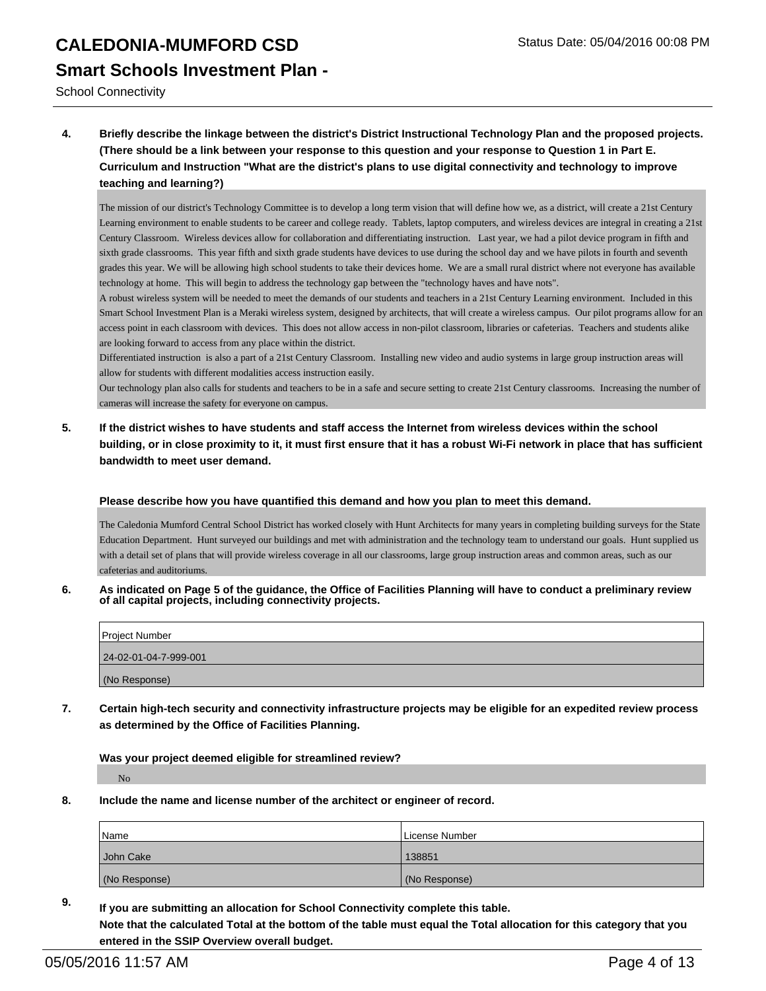School Connectivity

**4. Briefly describe the linkage between the district's District Instructional Technology Plan and the proposed projects. (There should be a link between your response to this question and your response to Question 1 in Part E. Curriculum and Instruction "What are the district's plans to use digital connectivity and technology to improve teaching and learning?)**

The mission of our district's Technology Committee is to develop a long term vision that will define how we, as a district, will create a 21st Century Learning environment to enable students to be career and college ready. Tablets, laptop computers, and wireless devices are integral in creating a 21st Century Classroom. Wireless devices allow for collaboration and differentiating instruction. Last year, we had a pilot device program in fifth and sixth grade classrooms. This year fifth and sixth grade students have devices to use during the school day and we have pilots in fourth and seventh grades this year. We will be allowing high school students to take their devices home. We are a small rural district where not everyone has available technology at home. This will begin to address the technology gap between the "technology haves and have nots".

A robust wireless system will be needed to meet the demands of our students and teachers in a 21st Century Learning environment. Included in this Smart School Investment Plan is a Meraki wireless system, designed by architects, that will create a wireless campus. Our pilot programs allow for an access point in each classroom with devices. This does not allow access in non-pilot classroom, libraries or cafeterias. Teachers and students alike are looking forward to access from any place within the district.

Differentiated instruction is also a part of a 21st Century Classroom. Installing new video and audio systems in large group instruction areas will allow for students with different modalities access instruction easily.

Our technology plan also calls for students and teachers to be in a safe and secure setting to create 21st Century classrooms. Increasing the number of cameras will increase the safety for everyone on campus.

**5. If the district wishes to have students and staff access the Internet from wireless devices within the school building, or in close proximity to it, it must first ensure that it has a robust Wi-Fi network in place that has sufficient bandwidth to meet user demand.**

#### **Please describe how you have quantified this demand and how you plan to meet this demand.**

The Caledonia Mumford Central School District has worked closely with Hunt Architects for many years in completing building surveys for the State Education Department. Hunt surveyed our buildings and met with administration and the technology team to understand our goals. Hunt supplied us with a detail set of plans that will provide wireless coverage in all our classrooms, large group instruction areas and common areas, such as our cafeterias and auditoriums.

**6. As indicated on Page 5 of the guidance, the Office of Facilities Planning will have to conduct a preliminary review of all capital projects, including connectivity projects.**

| Project Number        |  |
|-----------------------|--|
| 24-02-01-04-7-999-001 |  |
| (No Response)         |  |

**7. Certain high-tech security and connectivity infrastructure projects may be eligible for an expedited review process as determined by the Office of Facilities Planning.**

**Was your project deemed eligible for streamlined review?**

No

**8. Include the name and license number of the architect or engineer of record.**

| Name          | License Number |
|---------------|----------------|
| John Cake     | 138851         |
| (No Response) | (No Response)  |

**9. If you are submitting an allocation for School Connectivity complete this table. Note that the calculated Total at the bottom of the table must equal the Total allocation for this category that you entered in the SSIP Overview overall budget.**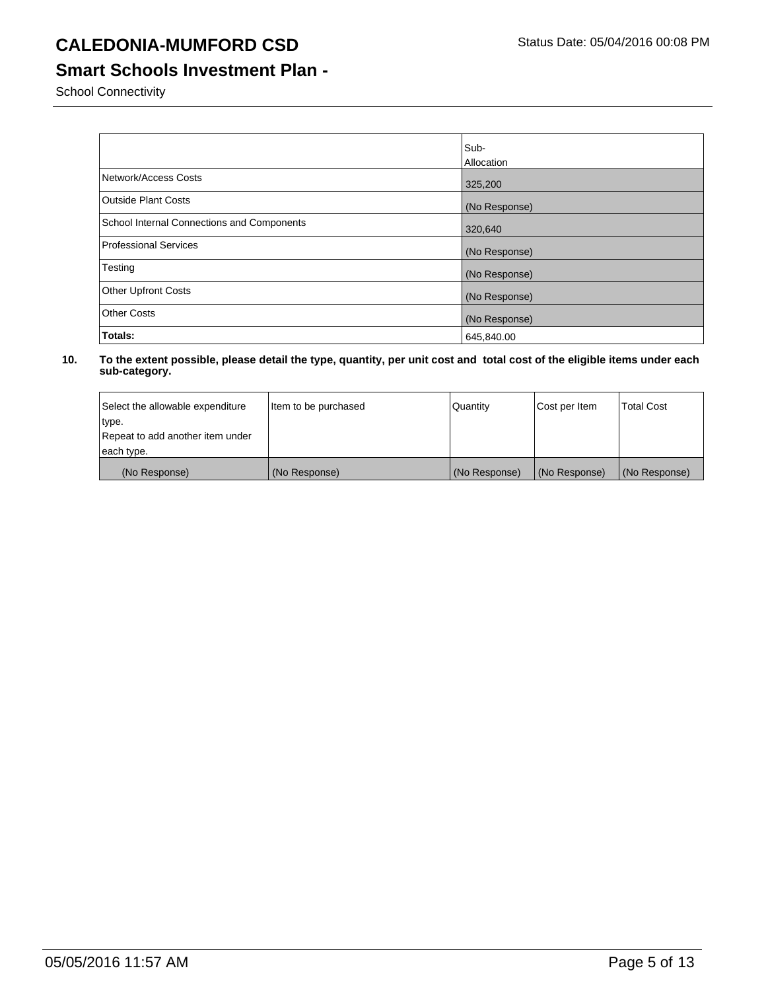## **Smart Schools Investment Plan -**

School Connectivity

|                                            | Sub-          |
|--------------------------------------------|---------------|
|                                            | Allocation    |
| Network/Access Costs                       | 325,200       |
| <b>Outside Plant Costs</b>                 | (No Response) |
| School Internal Connections and Components | 320,640       |
| Professional Services                      | (No Response) |
| Testing                                    | (No Response) |
| <b>Other Upfront Costs</b>                 | (No Response) |
| <b>Other Costs</b>                         | (No Response) |
| Totals:                                    | 645,840.00    |

| Select the allowable expenditure | Item to be purchased | Quantity      | Cost per Item | <b>Total Cost</b> |
|----------------------------------|----------------------|---------------|---------------|-------------------|
| type.                            |                      |               |               |                   |
| Repeat to add another item under |                      |               |               |                   |
| each type.                       |                      |               |               |                   |
| (No Response)                    | (No Response)        | (No Response) | (No Response) | (No Response)     |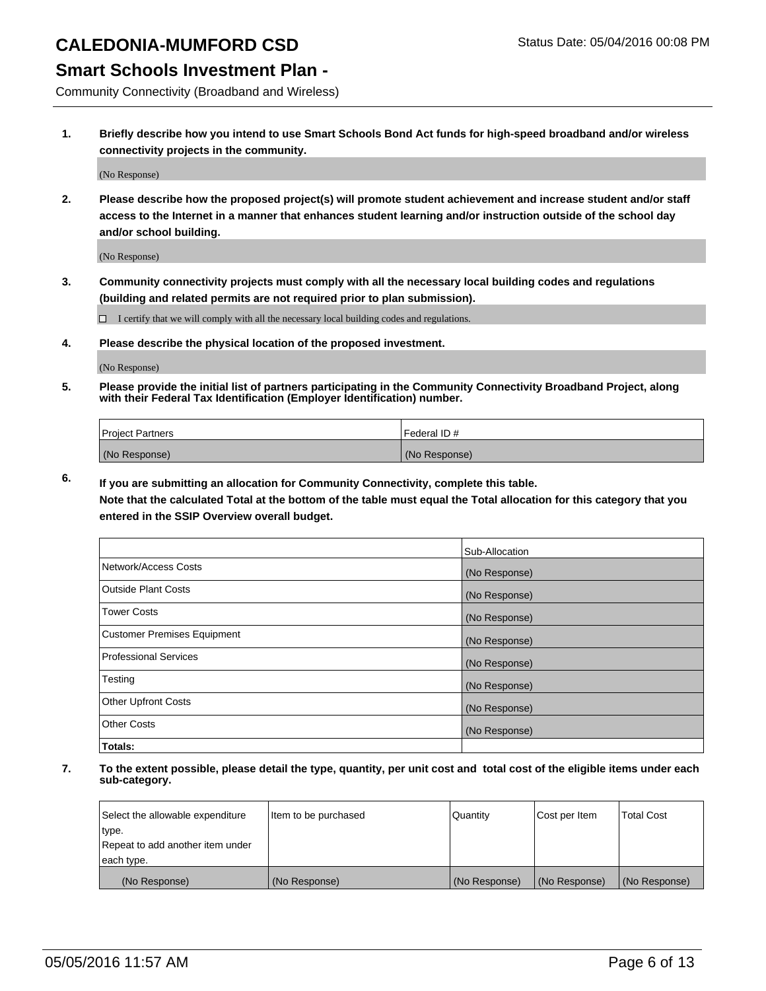### **Smart Schools Investment Plan -**

Community Connectivity (Broadband and Wireless)

**1. Briefly describe how you intend to use Smart Schools Bond Act funds for high-speed broadband and/or wireless connectivity projects in the community.**

(No Response)

**2. Please describe how the proposed project(s) will promote student achievement and increase student and/or staff access to the Internet in a manner that enhances student learning and/or instruction outside of the school day and/or school building.**

(No Response)

**3. Community connectivity projects must comply with all the necessary local building codes and regulations (building and related permits are not required prior to plan submission).**

 $\Box$  I certify that we will comply with all the necessary local building codes and regulations.

**4. Please describe the physical location of the proposed investment.**

(No Response)

**5. Please provide the initial list of partners participating in the Community Connectivity Broadband Project, along with their Federal Tax Identification (Employer Identification) number.**

| <b>Project Partners</b> | <b>IFederal ID#</b> |
|-------------------------|---------------------|
| (No Response)           | (No Response)       |

**6. If you are submitting an allocation for Community Connectivity, complete this table.**

**Note that the calculated Total at the bottom of the table must equal the Total allocation for this category that you entered in the SSIP Overview overall budget.**

|                                    | Sub-Allocation |
|------------------------------------|----------------|
| Network/Access Costs               | (No Response)  |
| Outside Plant Costs                | (No Response)  |
| <b>Tower Costs</b>                 | (No Response)  |
| <b>Customer Premises Equipment</b> | (No Response)  |
| Professional Services              | (No Response)  |
| Testing                            | (No Response)  |
| <b>Other Upfront Costs</b>         | (No Response)  |
| <b>Other Costs</b>                 | (No Response)  |
| Totals:                            |                |

| Select the allowable expenditure | Item to be purchased | Quantity      | Cost per Item | <b>Total Cost</b> |
|----------------------------------|----------------------|---------------|---------------|-------------------|
| type.                            |                      |               |               |                   |
| Repeat to add another item under |                      |               |               |                   |
| each type.                       |                      |               |               |                   |
| (No Response)                    | (No Response)        | (No Response) | (No Response) | (No Response)     |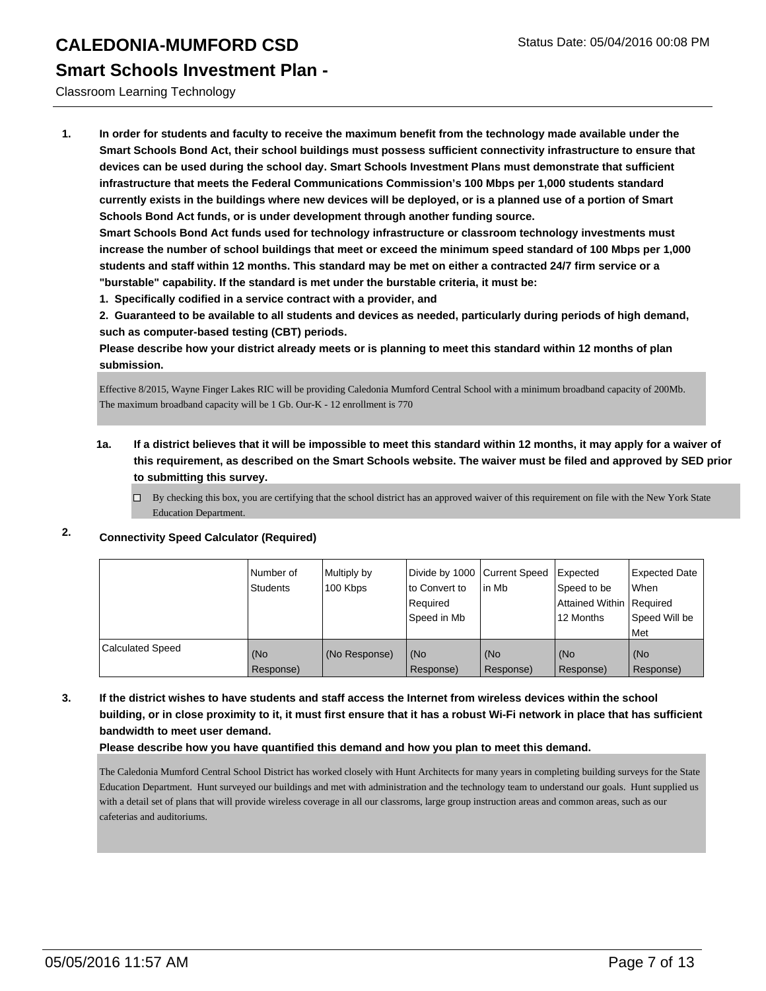### **Smart Schools Investment Plan -**

Classroom Learning Technology

**1. In order for students and faculty to receive the maximum benefit from the technology made available under the Smart Schools Bond Act, their school buildings must possess sufficient connectivity infrastructure to ensure that devices can be used during the school day. Smart Schools Investment Plans must demonstrate that sufficient infrastructure that meets the Federal Communications Commission's 100 Mbps per 1,000 students standard currently exists in the buildings where new devices will be deployed, or is a planned use of a portion of Smart Schools Bond Act funds, or is under development through another funding source.**

**Smart Schools Bond Act funds used for technology infrastructure or classroom technology investments must increase the number of school buildings that meet or exceed the minimum speed standard of 100 Mbps per 1,000 students and staff within 12 months. This standard may be met on either a contracted 24/7 firm service or a "burstable" capability. If the standard is met under the burstable criteria, it must be:**

**1. Specifically codified in a service contract with a provider, and**

**2. Guaranteed to be available to all students and devices as needed, particularly during periods of high demand, such as computer-based testing (CBT) periods.**

**Please describe how your district already meets or is planning to meet this standard within 12 months of plan submission.**

Effective 8/2015, Wayne Finger Lakes RIC will be providing Caledonia Mumford Central School with a minimum broadband capacity of 200Mb. The maximum broadband capacity will be 1 Gb. Our-K - 12 enrollment is 770

### **1a. If a district believes that it will be impossible to meet this standard within 12 months, it may apply for a waiver of this requirement, as described on the Smart Schools website. The waiver must be filed and approved by SED prior to submitting this survey.**

 $\Box$  By checking this box, you are certifying that the school district has an approved waiver of this requirement on file with the New York State Education Department.

### **2. Connectivity Speed Calculator (Required)**

|                         | Number of<br>Students | Multiply by<br>100 Kbps | Divide by 1000 Current Speed<br>Ito Convert to<br>l Reauired<br>l Speed in Mb | l in Mb          | Expected<br>Speed to be<br>Attained Within   Required<br>12 Months | <b>Expected Date</b><br><b>When</b><br>Speed Will be<br>l Met |
|-------------------------|-----------------------|-------------------------|-------------------------------------------------------------------------------|------------------|--------------------------------------------------------------------|---------------------------------------------------------------|
| <b>Calculated Speed</b> | (No<br>Response)      | (No Response)           | (No<br>Response)                                                              | (No<br>Response) | (No<br>Response)                                                   | l (No<br>Response)                                            |

**3. If the district wishes to have students and staff access the Internet from wireless devices within the school building, or in close proximity to it, it must first ensure that it has a robust Wi-Fi network in place that has sufficient bandwidth to meet user demand.**

**Please describe how you have quantified this demand and how you plan to meet this demand.**

The Caledonia Mumford Central School District has worked closely with Hunt Architects for many years in completing building surveys for the State Education Department. Hunt surveyed our buildings and met with administration and the technology team to understand our goals. Hunt supplied us with a detail set of plans that will provide wireless coverage in all our classroms, large group instruction areas and common areas, such as our cafeterias and auditoriums.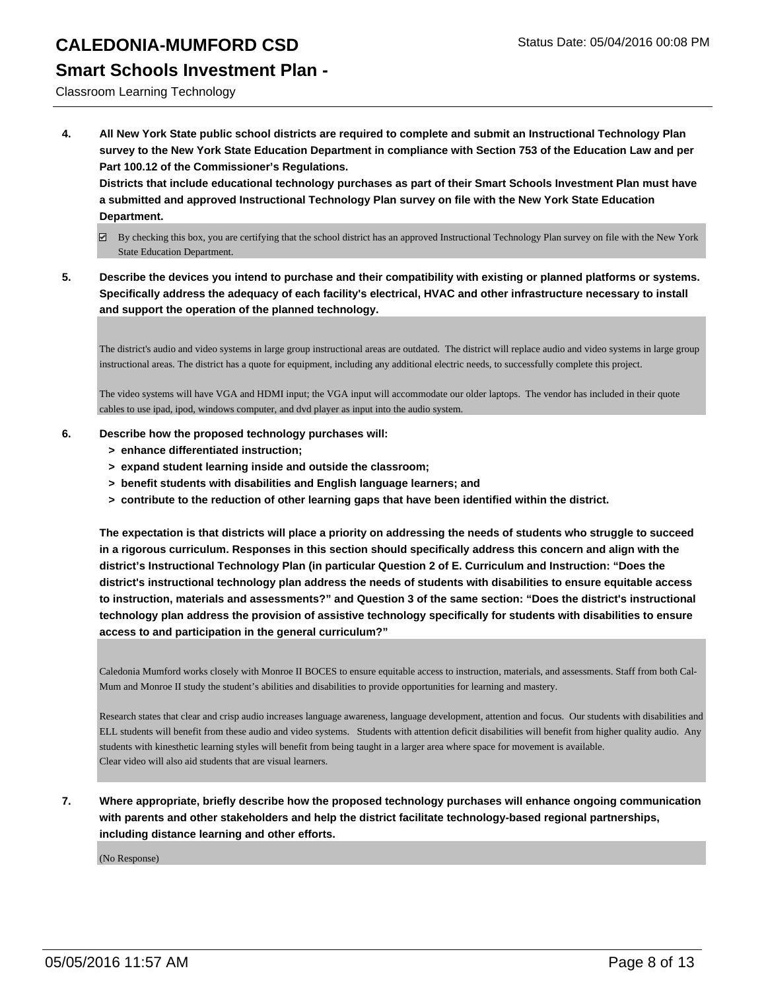### **Smart Schools Investment Plan -**

Classroom Learning Technology

**4. All New York State public school districts are required to complete and submit an Instructional Technology Plan survey to the New York State Education Department in compliance with Section 753 of the Education Law and per Part 100.12 of the Commissioner's Regulations.**

**Districts that include educational technology purchases as part of their Smart Schools Investment Plan must have a submitted and approved Instructional Technology Plan survey on file with the New York State Education Department.**

- $\boxtimes$  By checking this box, you are certifying that the school district has an approved Instructional Technology Plan survey on file with the New York State Education Department.
- **5. Describe the devices you intend to purchase and their compatibility with existing or planned platforms or systems. Specifically address the adequacy of each facility's electrical, HVAC and other infrastructure necessary to install and support the operation of the planned technology.**

The district's audio and video systems in large group instructional areas are outdated. The district will replace audio and video systems in large group instructional areas. The district has a quote for equipment, including any additional electric needs, to successfully complete this project.

The video systems will have VGA and HDMI input; the VGA input will accommodate our older laptops. The vendor has included in their quote cables to use ipad, ipod, windows computer, and dvd player as input into the audio system.

- **6. Describe how the proposed technology purchases will:**
	- **> enhance differentiated instruction;**
	- **> expand student learning inside and outside the classroom;**
	- **> benefit students with disabilities and English language learners; and**
	- **> contribute to the reduction of other learning gaps that have been identified within the district.**

**The expectation is that districts will place a priority on addressing the needs of students who struggle to succeed in a rigorous curriculum. Responses in this section should specifically address this concern and align with the district's Instructional Technology Plan (in particular Question 2 of E. Curriculum and Instruction: "Does the district's instructional technology plan address the needs of students with disabilities to ensure equitable access to instruction, materials and assessments?" and Question 3 of the same section: "Does the district's instructional technology plan address the provision of assistive technology specifically for students with disabilities to ensure access to and participation in the general curriculum?"**

Caledonia Mumford works closely with Monroe II BOCES to ensure equitable access to instruction, materials, and assessments. Staff from both Cal-Mum and Monroe II study the student's abilities and disabilities to provide opportunities for learning and mastery.

Research states that clear and crisp audio increases language awareness, language development, attention and focus. Our students with disabilities and ELL students will benefit from these audio and video systems. Students with attention deficit disabilities will benefit from higher quality audio. Any students with kinesthetic learning styles will benefit from being taught in a larger area where space for movement is available. Clear video will also aid students that are visual learners.

**7. Where appropriate, briefly describe how the proposed technology purchases will enhance ongoing communication with parents and other stakeholders and help the district facilitate technology-based regional partnerships, including distance learning and other efforts.**

(No Response)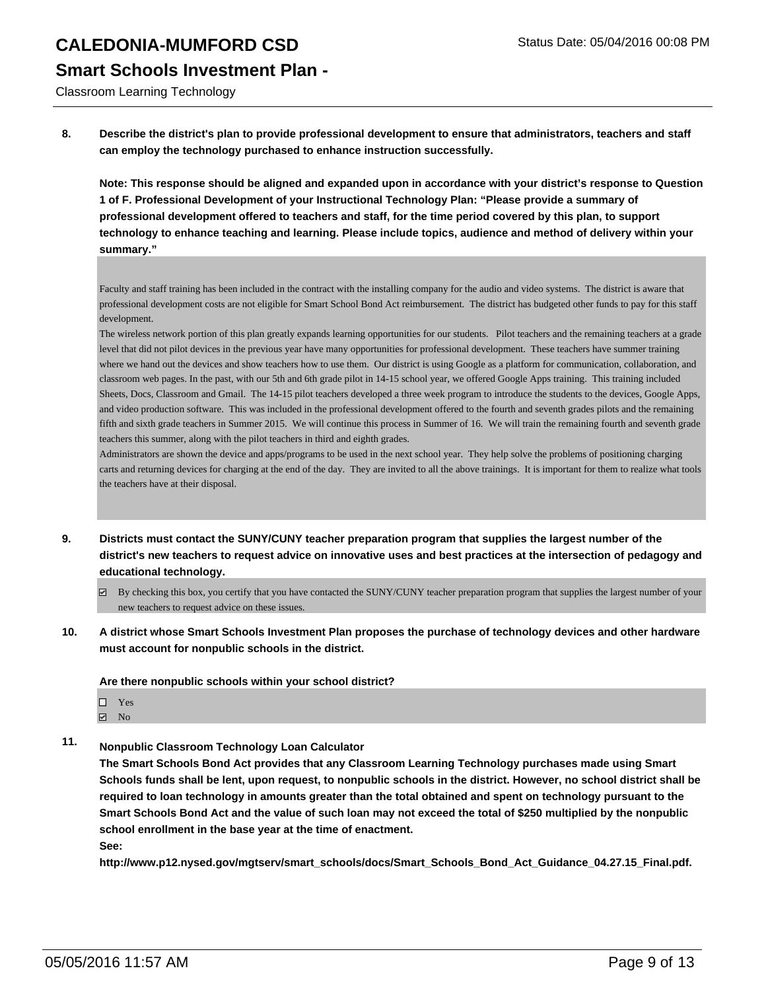Classroom Learning Technology

**8. Describe the district's plan to provide professional development to ensure that administrators, teachers and staff can employ the technology purchased to enhance instruction successfully.**

**Note: This response should be aligned and expanded upon in accordance with your district's response to Question 1 of F. Professional Development of your Instructional Technology Plan: "Please provide a summary of professional development offered to teachers and staff, for the time period covered by this plan, to support technology to enhance teaching and learning. Please include topics, audience and method of delivery within your summary."**

Faculty and staff training has been included in the contract with the installing company for the audio and video systems. The district is aware that professional development costs are not eligible for Smart School Bond Act reimbursement. The district has budgeted other funds to pay for this staff development.

The wireless network portion of this plan greatly expands learning opportunities for our students. Pilot teachers and the remaining teachers at a grade level that did not pilot devices in the previous year have many opportunities for professional development. These teachers have summer training where we hand out the devices and show teachers how to use them. Our district is using Google as a platform for communication, collaboration, and classroom web pages. In the past, with our 5th and 6th grade pilot in 14-15 school year, we offered Google Apps training. This training included Sheets, Docs, Classroom and Gmail. The 14-15 pilot teachers developed a three week program to introduce the students to the devices, Google Apps, and video production software. This was included in the professional development offered to the fourth and seventh grades pilots and the remaining fifth and sixth grade teachers in Summer 2015. We will continue this process in Summer of 16. We will train the remaining fourth and seventh grade teachers this summer, along with the pilot teachers in third and eighth grades.

Administrators are shown the device and apps/programs to be used in the next school year. They help solve the problems of positioning charging carts and returning devices for charging at the end of the day. They are invited to all the above trainings. It is important for them to realize what tools the teachers have at their disposal.

- **9. Districts must contact the SUNY/CUNY teacher preparation program that supplies the largest number of the district's new teachers to request advice on innovative uses and best practices at the intersection of pedagogy and educational technology.**
	- By checking this box, you certify that you have contacted the SUNY/CUNY teacher preparation program that supplies the largest number of your new teachers to request advice on these issues.
- **10. A district whose Smart Schools Investment Plan proposes the purchase of technology devices and other hardware must account for nonpublic schools in the district.**

**Are there nonpublic schools within your school district?**

- $\Box$  Yes
- $\boxdot$  No
- **11. Nonpublic Classroom Technology Loan Calculator**

**The Smart Schools Bond Act provides that any Classroom Learning Technology purchases made using Smart Schools funds shall be lent, upon request, to nonpublic schools in the district. However, no school district shall be required to loan technology in amounts greater than the total obtained and spent on technology pursuant to the Smart Schools Bond Act and the value of such loan may not exceed the total of \$250 multiplied by the nonpublic school enrollment in the base year at the time of enactment. See:**

**http://www.p12.nysed.gov/mgtserv/smart\_schools/docs/Smart\_Schools\_Bond\_Act\_Guidance\_04.27.15\_Final.pdf.**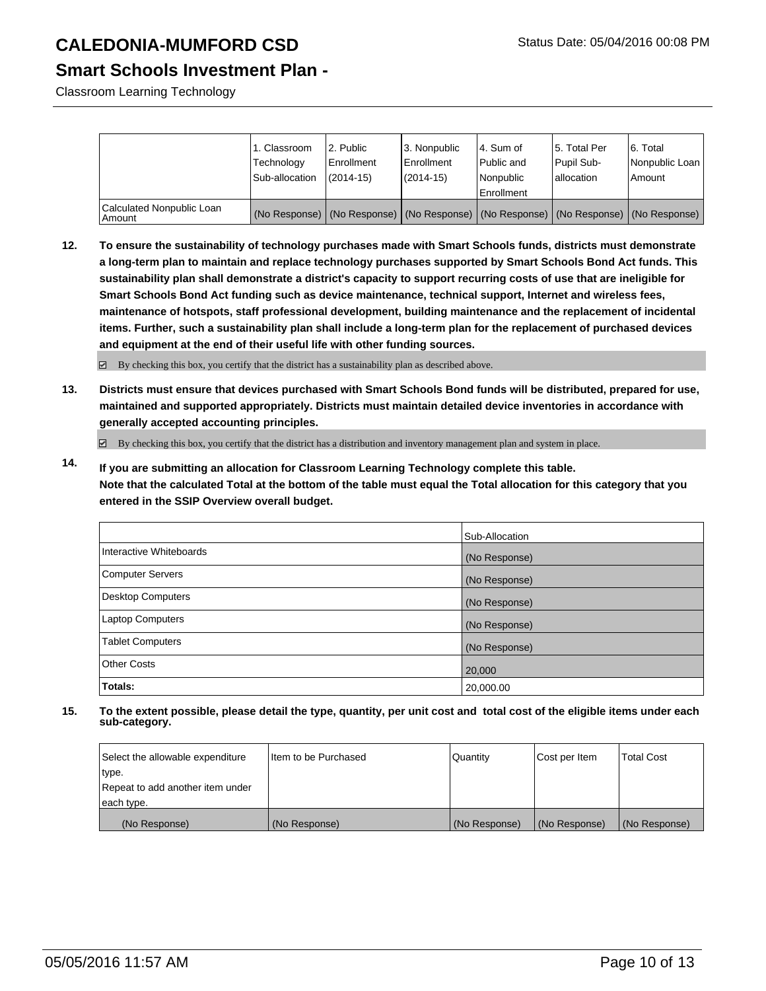### **Smart Schools Investment Plan -**

Classroom Learning Technology

|                                       | 1. Classroom   | 2. Public     | 3. Nonpublic  | l 4. Sum of                                                                                   | 5. Total Per | 6. Total       |
|---------------------------------------|----------------|---------------|---------------|-----------------------------------------------------------------------------------------------|--------------|----------------|
|                                       | Technology     | Enrollment    | l Enrollment  | Public and                                                                                    | Pupil Sub-   | Nonpublic Loan |
|                                       | Sub-allocation | $(2014 - 15)$ | $(2014 - 15)$ | Nonpublic                                                                                     | lallocation  | l Amount       |
|                                       |                |               |               | Enrollment                                                                                    |              |                |
| Calculated Nonpublic Loan<br>  Amount |                |               |               | (No Response)   (No Response)   (No Response)   (No Response)   (No Response)   (No Response) |              |                |

**12. To ensure the sustainability of technology purchases made with Smart Schools funds, districts must demonstrate a long-term plan to maintain and replace technology purchases supported by Smart Schools Bond Act funds. This sustainability plan shall demonstrate a district's capacity to support recurring costs of use that are ineligible for Smart Schools Bond Act funding such as device maintenance, technical support, Internet and wireless fees, maintenance of hotspots, staff professional development, building maintenance and the replacement of incidental items. Further, such a sustainability plan shall include a long-term plan for the replacement of purchased devices and equipment at the end of their useful life with other funding sources.**

By checking this box, you certify that the district has a sustainability plan as described above.

**13. Districts must ensure that devices purchased with Smart Schools Bond funds will be distributed, prepared for use, maintained and supported appropriately. Districts must maintain detailed device inventories in accordance with generally accepted accounting principles.**

By checking this box, you certify that the district has a distribution and inventory management plan and system in place.

**14. If you are submitting an allocation for Classroom Learning Technology complete this table. Note that the calculated Total at the bottom of the table must equal the Total allocation for this category that you entered in the SSIP Overview overall budget.**

|                          | Sub-Allocation |
|--------------------------|----------------|
| Interactive Whiteboards  | (No Response)  |
| <b>Computer Servers</b>  | (No Response)  |
| <b>Desktop Computers</b> | (No Response)  |
| <b>Laptop Computers</b>  | (No Response)  |
| <b>Tablet Computers</b>  | (No Response)  |
| <b>Other Costs</b>       | 20,000         |
| Totals:                  | 20,000.00      |

| Select the allowable expenditure | Iltem to be Purchased | Quantity      | Cost per Item | <b>Total Cost</b> |
|----------------------------------|-----------------------|---------------|---------------|-------------------|
| type.                            |                       |               |               |                   |
| Repeat to add another item under |                       |               |               |                   |
| each type.                       |                       |               |               |                   |
| (No Response)                    | (No Response)         | (No Response) | (No Response) | (No Response)     |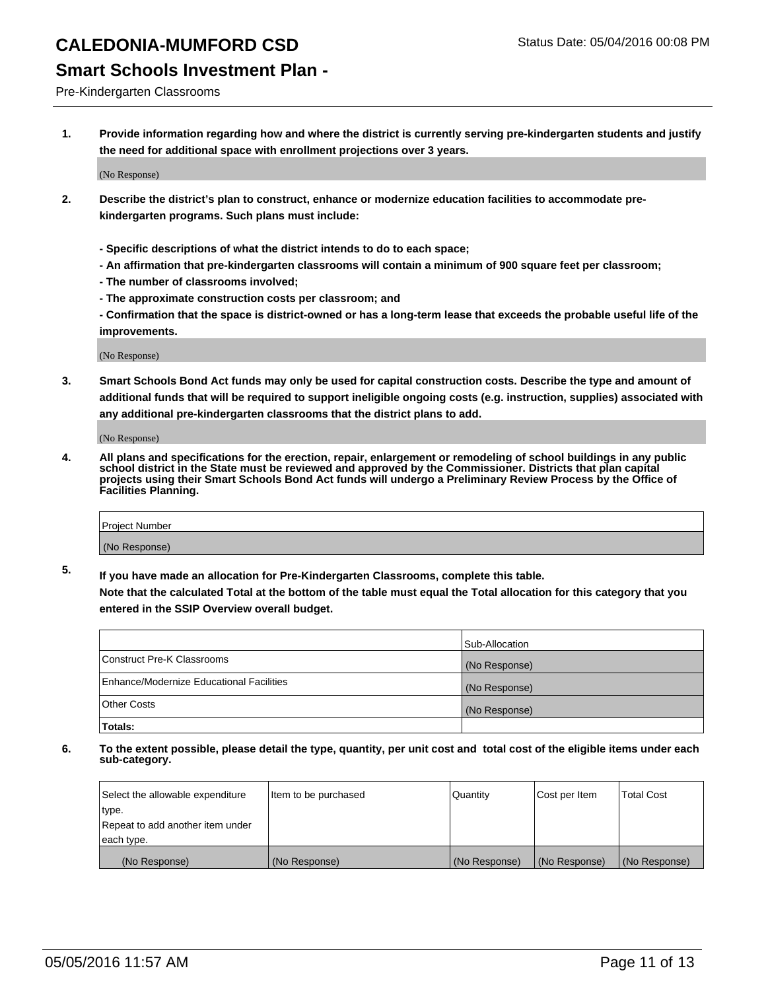### **Smart Schools Investment Plan -**

Pre-Kindergarten Classrooms

**1. Provide information regarding how and where the district is currently serving pre-kindergarten students and justify the need for additional space with enrollment projections over 3 years.**

(No Response)

- **2. Describe the district's plan to construct, enhance or modernize education facilities to accommodate prekindergarten programs. Such plans must include:**
	- **Specific descriptions of what the district intends to do to each space;**
	- **An affirmation that pre-kindergarten classrooms will contain a minimum of 900 square feet per classroom;**
	- **The number of classrooms involved;**
	- **The approximate construction costs per classroom; and**
	- **Confirmation that the space is district-owned or has a long-term lease that exceeds the probable useful life of the improvements.**

(No Response)

**3. Smart Schools Bond Act funds may only be used for capital construction costs. Describe the type and amount of additional funds that will be required to support ineligible ongoing costs (e.g. instruction, supplies) associated with any additional pre-kindergarten classrooms that the district plans to add.**

(No Response)

**4. All plans and specifications for the erection, repair, enlargement or remodeling of school buildings in any public school district in the State must be reviewed and approved by the Commissioner. Districts that plan capital projects using their Smart Schools Bond Act funds will undergo a Preliminary Review Process by the Office of Facilities Planning.**

| Project Number |  |
|----------------|--|
| (No Response)  |  |

**5. If you have made an allocation for Pre-Kindergarten Classrooms, complete this table. Note that the calculated Total at the bottom of the table must equal the Total allocation for this category that you**

**entered in the SSIP Overview overall budget.**

|                                          | Sub-Allocation |
|------------------------------------------|----------------|
| Construct Pre-K Classrooms               | (No Response)  |
| Enhance/Modernize Educational Facilities | (No Response)  |
| Other Costs                              | (No Response)  |
| Totals:                                  |                |

| Select the allowable expenditure | Item to be purchased | Quantity      | Cost per Item | <b>Total Cost</b> |
|----------------------------------|----------------------|---------------|---------------|-------------------|
| type.                            |                      |               |               |                   |
| Repeat to add another item under |                      |               |               |                   |
| each type.                       |                      |               |               |                   |
| (No Response)                    | (No Response)        | (No Response) | (No Response) | (No Response)     |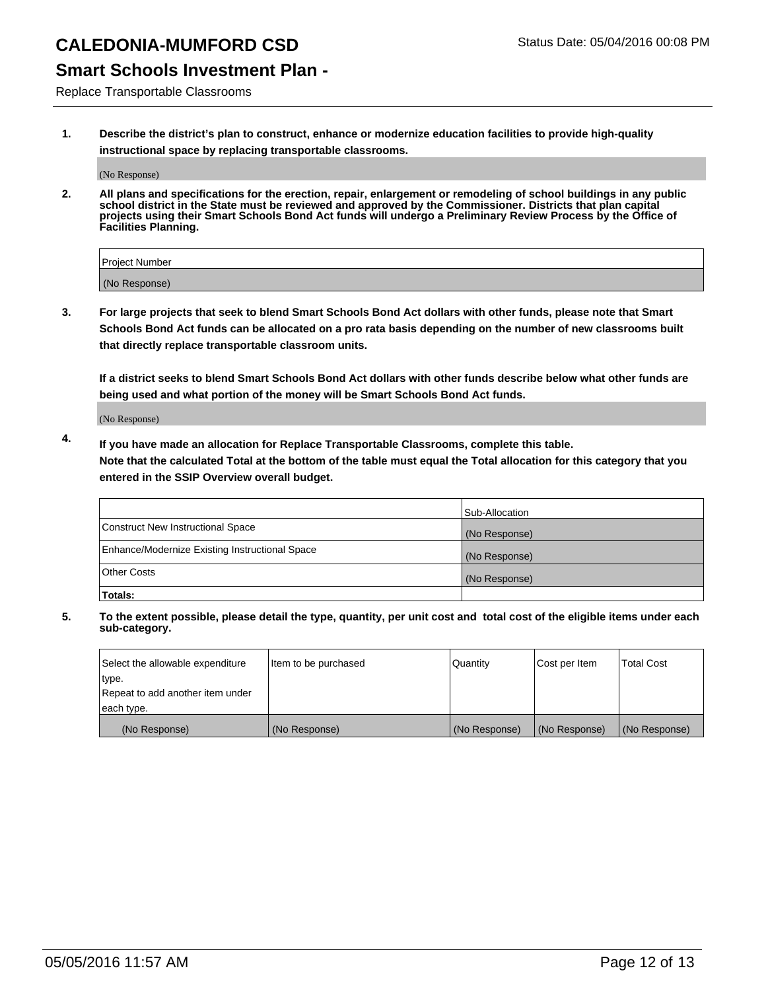### **Smart Schools Investment Plan -**

Replace Transportable Classrooms

**1. Describe the district's plan to construct, enhance or modernize education facilities to provide high-quality instructional space by replacing transportable classrooms.**

(No Response)

**2. All plans and specifications for the erection, repair, enlargement or remodeling of school buildings in any public school district in the State must be reviewed and approved by the Commissioner. Districts that plan capital projects using their Smart Schools Bond Act funds will undergo a Preliminary Review Process by the Office of Facilities Planning.**

| Project Number |  |
|----------------|--|
| (No Response)  |  |

**3. For large projects that seek to blend Smart Schools Bond Act dollars with other funds, please note that Smart Schools Bond Act funds can be allocated on a pro rata basis depending on the number of new classrooms built that directly replace transportable classroom units.**

**If a district seeks to blend Smart Schools Bond Act dollars with other funds describe below what other funds are being used and what portion of the money will be Smart Schools Bond Act funds.**

(No Response)

**4. If you have made an allocation for Replace Transportable Classrooms, complete this table. Note that the calculated Total at the bottom of the table must equal the Total allocation for this category that you entered in the SSIP Overview overall budget.**

|                                                | Sub-Allocation |
|------------------------------------------------|----------------|
| Construct New Instructional Space              | (No Response)  |
| Enhance/Modernize Existing Instructional Space | (No Response)  |
| <b>Other Costs</b>                             | (No Response)  |
| Totals:                                        |                |

| Select the allowable expenditure | Item to be purchased | Quantity      | Cost per Item | <b>Total Cost</b> |
|----------------------------------|----------------------|---------------|---------------|-------------------|
| type.                            |                      |               |               |                   |
| Repeat to add another item under |                      |               |               |                   |
| each type.                       |                      |               |               |                   |
| (No Response)                    | (No Response)        | (No Response) | (No Response) | (No Response)     |